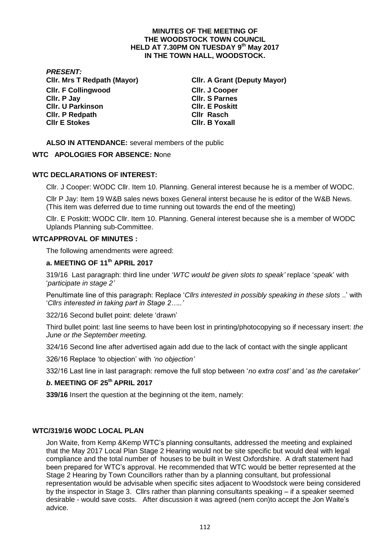## **MINUTES OF THE MEETING OF THE WOODSTOCK TOWN COUNCIL HELD AT 7.30PM ON TUESDAY 9 th May 2017 IN THE TOWN HALL, WOODSTOCK.**

*PRESENT:* **Cllr. F Collingwood Cllr. P Jay Cllr. U Parkinson Cllr. P Redpath Cllr Rasch Cllr E Stokes Cllr. B Yoxall**

**Cllr. Mrs T Redpath (Mayor) Cllr. A Grant (Deputy Mayor) Cllr. J Cooper Cllr. S Parnes Cllr. E Poskitt** 

**ALSO IN ATTENDANCE:** several members of the public

## **WTC APOLOGIES FOR ABSENCE: N**one

## **WTC DECLARATIONS OF INTEREST:**

Cllr. J Cooper: WODC Cllr. Item 10. Planning. General interest because he is a member of WODC.

Cllr P Jay: Item 19 W&B sales news boxes General interst because he is editor of the W&B News. (This item was deferred due to time running out towards the end of the meeting)

Cllr. E Poskitt: WODC Cllr. Item 10. Planning. General interest because she is a member of WODC Uplands Planning sub-Committee.

#### **WTCAPPROVAL OF MINUTES :**

The following amendments were agreed:

# **a. MEETING OF 11th APRIL 2017**

319/16 Last paragraph: third line under '*WTC would be given slots to speak'* replace '*spea*k' with '*participate in stage 2'*

Penultimate line of this paragraph: Replace '*Cllrs interested in possibly speaking in these slots* ..' with '*Cllrs interested in taking part in Stage 2…..'*

322/16 Second bullet point: delete 'drawn'

Third bullet point: last line seems to have been lost in printing/photocopying so if necessary insert: *the June or the September meeting.* 

324/16 Second line after advertised again add due to the lack of contact with the single applicant

326/16 Replace 'to objection' with *'no objection'*

332/16 Last line in last paragraph: remove the full stop between '*no extra cost'* and '*as the caretaker'*

## *b***. MEETING OF 25th APRIL 2017**

**339/16** Insert the question at the beginning ot the item, namely:

## **WTC/319/16 WODC LOCAL PLAN**

Jon Waite, from Kemp &Kemp WTC's planning consultants, addressed the meeting and explained that the May 2017 Local Plan Stage 2 Hearing would not be site specific but would deal with legal compliance and the total number of houses to be built in West Oxfordshire. A draft statement had been prepared for WTC's approval. He recommended that WTC would be better represented at the Stage 2 Hearing by Town Councillors rather than by a planning consultant, but professional representation would be advisable when specific sites adjacent to Woodstock were being considered by the inspector in Stage 3. Cllrs rather than planning consultants speaking – if a speaker seemed desirable - would save costs. After discussion it was agreed (nem con)to accept the Jon Waite's advice.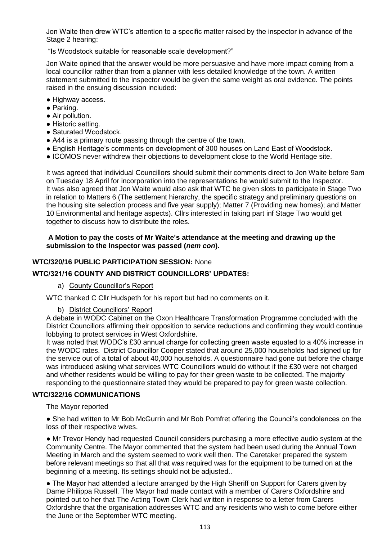Jon Waite then drew WTC's attention to a specific matter raised by the inspector in advance of the Stage 2 hearing:

"Is Woodstock suitable for reasonable scale development?"

Jon Waite opined that the answer would be more persuasive and have more impact coming from a local councillor rather than from a planner with less detailed knowledge of the town. A written statement submitted to the inspector would be given the same weight as oral evidence. The points raised in the ensuing discussion included:

- Highway access.
- Parking.
- Air pollution.
- Historic setting.
- Saturated Woodstock
- A44 is a primary route passing through the centre of the town.
- English Heritage's comments on development of 300 houses on Land East of Woodstock.
- ICOMOS never withdrew their objections to development close to the World Heritage site.

It was agreed that individual Councillors should submit their comments direct to Jon Waite before 9am on Tuesday 18 April for incorporation into the representations he would submit to the Inspector. It was also agreed that Jon Waite would also ask that WTC be given slots to participate in Stage Two in relation to Matters 6 (The settlement hierarchy, the specific strategy and preliminary questions on the housing site selection process and five year supply); Matter 7 (Providing new homes); and Matter 10 Environmental and heritage aspects). Cllrs interested in taking part inf Stage Two would get together to discuss how to distribute the roles.

#### **A Motion to pay the costs of Mr Waite's attendance at the meeting and drawing up the submission to the Inspector was passed (***nem con***).**

#### **WTC/320/16 PUBLIC PARTICIPATION SESSION:** None

### **WTC/321/16 COUNTY AND DISTRICT COUNCILLORS' UPDATES:**

#### a) County Councillor's Report

WTC thanked C Cllr Hudspeth for his report but had no comments on it.

#### b) District Councillors' Report

A debate in WODC Cabinet on the Oxon Healthcare Transformation Programme concluded with the District Councillors affirming their opposition to service reductions and confirming they would continue lobbying to protect services in West Oxfordshire.

It was noted that WODC's £30 annual charge for collecting green waste equated to a 40% increase in the WODC rates. District Councillor Cooper stated that around 25,000 households had signed up for the service out of a total of about 40,000 households. A questionnaire had gone out before the charge was introduced asking what services WTC Councillors would do without if the £30 were not charged and whether residents would be willing to pay for their green waste to be collected. The majority responding to the questionnaire stated they would be prepared to pay for green waste collection.

## **WTC/322/16 COMMUNICATIONS**

The Mayor reported

● She had written to Mr Bob McGurrin and Mr Bob Pomfret offering the Council's condolences on the loss of their respective wives.

● Mr Trevor Hendy had requested Council considers purchasing a more effective audio system at the Community Centre. The Mayor commented that the system had been used during the Annual Town Meeting in March and the system seemed to work well then. The Caretaker prepared the system before relevant meetings so that all that was required was for the equipment to be turned on at the beginning of a meeting. Its settings should not be adjusted..

• The Mayor had attended a lecture arranged by the High Sheriff on Support for Carers given by Dame Philippa Russell. The Mayor had made contact with a member of Carers Oxfordshire and pointed out to her that The Acting Town Clerk had written in response to a letter from Carers Oxfordshre that the organisation addresses WTC and any residents who wish to come before either the June or the September WTC meeting.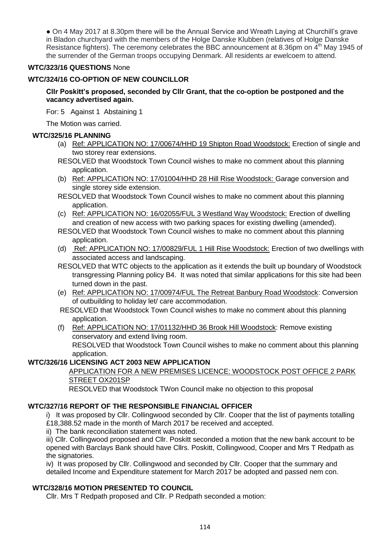• On 4 May 2017 at 8.30pm there will be the Annual Service and Wreath Laying at Churchill's grave in Bladon churchyard with the members of the Holge Danske Klubben (relatives of Holge Danske Resistance fighters). The ceremony celebrates the BBC announcement at 8.36pm on 4<sup>th</sup> May 1945 of the surrender of the German troops occupying Denmark. All residents ar ewelcoem to attend.

# **WTC/323/16 QUESTIONS** None

# **WTC/324/16 CO-OPTION OF NEW COUNCILLOR**

## **Cllr Poskitt's proposed, seconded by Cllr Grant, that the co-option be postponed and the vacancy advertised again.**

For: 5 Against 1 Abstaining 1

The Motion was carried.

## **WTC/325/16 PLANNING**

- (a) Ref: APPLICATION NO: 17/00674/HHD 19 Shipton Road Woodstock: Erection of single and two storey rear extensions.
- RESOLVED that Woodstock Town Council wishes to make no comment about this planning application.
- (b) Ref: APPLICATION NO: 17/01004/HHD 28 Hill Rise Woodstock: Garage conversion and single storey side extension.
- RESOLVED that Woodstock Town Council wishes to make no comment about this planning application.
- (c) Ref: APPLICATION NO: 16/02055/FUL 3 Westland Way Woodstock: Erection of dwelling and creation of new access with two parking spaces for existing dwelling (amended).
- RESOLVED that Woodstock Town Council wishes to make no comment about this planning application.
- (d) Ref: APPLICATION NO: 17/00829/FUL 1 Hill Rise Woodstock: Erection of two dwellings with associated access and landscaping.
- RESOLVED that WTC objects to the application as it extends the built up boundary of Woodstock transgressing Planning policy B4. It was noted that similar applications for this site had been turned down in the past.
- (e) Ref: APPLICATION NO: 17/00974/FUL The Retreat Banbury Road Woodstock: Conversion of outbuilding to holiday let/ care accommodation.
- RESOLVED that Woodstock Town Council wishes to make no comment about this planning application.
- (f) Ref: APPLICATION NO: 17/01132/HHD 36 Brook Hill Woodstock: Remove existing conservatory and extend living room. RESOLVED that Woodstock Town Council wishes to make no comment about this planning

## **WTC/326/16 LICENSING ACT 2003 NEW APPLICATION**

application.

APPLICATION FOR A NEW PREMISES LICENCE: WOODSTOCK POST OFFICE 2 PARK STREET OX201SP

RESOLVED that Woodstock TWon Council make no objection to this proposal

# **WTC/327/16 REPORT OF THE RESPONSIBLE FINANCIAL OFFICER**

i) It was proposed by Cllr. Collingwood seconded by Cllr. Cooper that the list of payments totalling £18,388.52 made in the month of March 2017 be received and accepted.

ii) The bank reconciliation statement was noted.

iii) Cllr. Collingwood proposed and Cllr. Poskitt seconded a motion that the new bank account to be opened with Barclays Bank should have Cllrs. Poskitt, Collingwood, Cooper and Mrs T Redpath as the signatories.

iv) It was proposed by Cllr. Collingwood and seconded by Cllr. Cooper that the summary and detailed Income and Expenditure statement for March 2017 be adopted and passed nem con.

# **WTC/328/16 MOTION PRESENTED TO COUNCIL**

Cllr. Mrs T Redpath proposed and Cllr. P Redpath seconded a motion: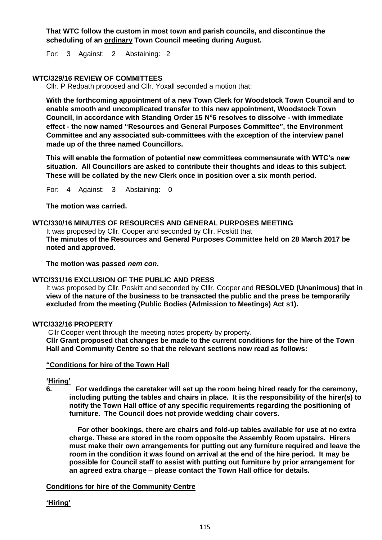**That WTC follow the custom in most town and parish councils, and discontinue the scheduling of an ordinary Town Council meeting during August.**

For: 3 Against: 2 Abstaining: 2

# **WTC/329/16 REVIEW OF COMMITTEES**

Cllr. P Redpath proposed and Cllr. Yoxall seconded a motion that:

**With the forthcoming appointment of a new Town Clerk for Woodstock Town Council and to enable smooth and uncomplicated transfer to this new appointment, Woodstock Town Council, in accordance with Standing Order 15 N<sup>o</sup> 6 resolves to dissolve - with immediate effect - the now named "Resources and General Purposes Committee", the Environment Committee and any associated sub-committees with the exception of the interview panel made up of the three named Councillors.**

**This will enable the formation of potential new committees commensurate with WTC's new situation. All Councillors are asked to contribute their thoughts and ideas to this subject. These will be collated by the new Clerk once in position over a six month period.**

For: 4 Against: 3 Abstaining: 0

**The motion was carried.**

#### **WTC/330/16 MINUTES OF RESOURCES AND GENERAL PURPOSES MEETING**

It was proposed by Cllr. Cooper and seconded by Cllr. Poskitt that **The minutes of the Resources and General Purposes Committee held on 28 March 2017 be noted and approved.**

**The motion was passed** *nem con***.**

#### **WTC/331/16 EXCLUSION OF THE PUBLIC AND PRESS**

It was proposed by Cllr. Poskitt and seconded by Clllr. Cooper and **RESOLVED (Unanimous) that in view of the nature of the business to be transacted the public and the press be temporarily excluded from the meeting (Public Bodies (Admission to Meetings) Act s1).**

#### **WTC/332/16 PROPERTY**

Cllr Cooper went through the meeting notes property by property. **Cllr Grant proposed that changes be made to the current conditions for the hire of the Town Hall and Community Centre so that the relevant sections now read as follows:**

#### **"Conditions for hire of the Town Hall**

**'Hiring'**

**6. For weddings the caretaker will set up the room being hired ready for the ceremony, including putting the tables and chairs in place. It is the responsibility of the hirer(s) to notify the Town Hall office of any specific requirements regarding the positioning of furniture. The Council does not provide wedding chair covers.**

 **For other bookings, there are chairs and fold-up tables available for use at no extra charge. These are stored in the room opposite the Assembly Room upstairs. Hirers must make their own arrangements for putting out any furniture required and leave the room in the condition it was found on arrival at the end of the hire period. It may be possible for Council staff to assist with putting out furniture by prior arrangement for an agreed extra charge – please contact the Town Hall office for details.**

#### **Conditions for hire of the Community Centre**

**'Hiring'**